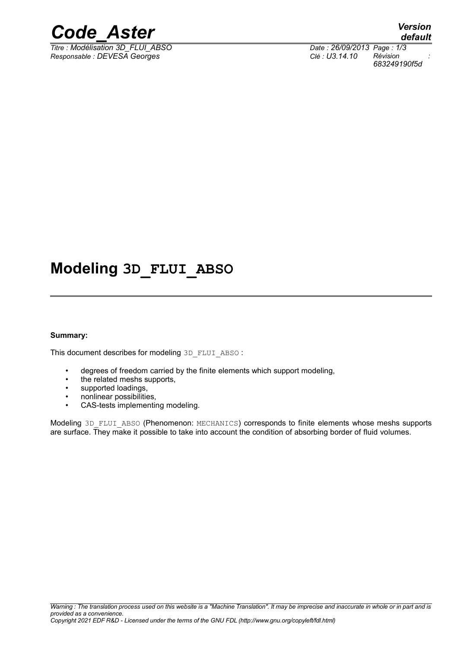

*Titre : Modélisation 3D\_FLUI\_ABSO Date : 26/09/2013 Page : 1/3 Responsable : DEVESA Georges Clé : U3.14.10 Révision :*

*default 683249190f5d*

## **Modeling 3D\_FLUI\_ABSO**

#### **Summary:**

This document describes for modeling 3D\_FLUI\_ABSO :

- degrees of freedom carried by the finite elements which support modeling,
- the related meshs supports,
- supported loadings,
- nonlinear possibilities,
- CAS-tests implementing modeling.

Modeling 3D\_FLUI\_ABSO (Phenomenon: MECHANICS) corresponds to finite elements whose meshs supports are surface. They make it possible to take into account the condition of absorbing border of fluid volumes.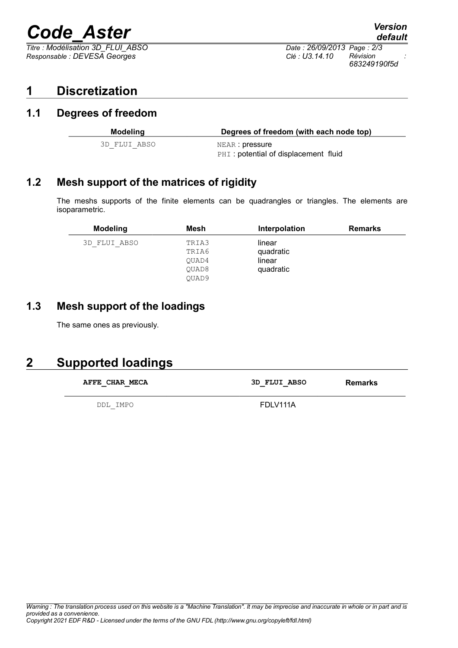# *Code\_Aster Version*

 $\overline{T}$ *Titre : Modélisation 3D\_FLUI\_ABSO Responsable : DEVESA Georges Clé : U3.14.10 Révision :*

*default 683249190f5d*

## **1 Discretization**

#### **1.1 Degrees of freedom**

| Modeling     | Degrees of freedom (with each node top)                 |
|--------------|---------------------------------------------------------|
| 3D FLUI ABSO | NEAR : pressure<br>PHI: potential of displacement fluid |

### **1.2 Mesh support of the matrices of rigidity**

The meshs supports of the finite elements can be quadrangles or triangles. The elements are isoparametric.

| <b>Modeling</b> | Mesh  | Interpolation | <b>Remarks</b> |
|-----------------|-------|---------------|----------------|
| 3D FLUI ABSO    | TRIA3 | linear        |                |
|                 | TRIA6 | quadratic     |                |
|                 | OUAD4 | linear        |                |
|                 | QUAD8 | quadratic     |                |
|                 | OUAD9 |               |                |

### **1.3 Mesh support of the loadings**

The same ones as previously.

## **2 Supported loadings**

| AFFE CHAR MECA<br>$\overline{\phantom{0}}$ | 3D FLUI ABSO | Remarks |
|--------------------------------------------|--------------|---------|
| DDL IMPO                                   | FDLV111A     |         |